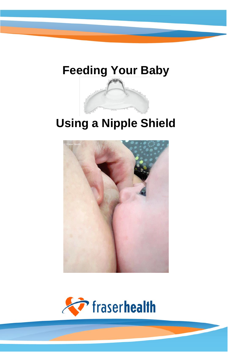# **Feeding Your Baby**

## **Using a Nipple Shield**



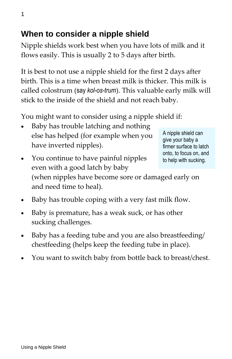#### **When to consider a nipple shield**

Nipple shields work best when you have lots of milk and it flows easily. This is usually 2 to 5 days after birth.

It is best to not use a nipple shield for the first 2 days after birth. This is a time when breast milk is thicker. This milk is called colostrum (say *kol-os-trum*). This valuable early milk will stick to the inside of the shield and not reach baby.

You might want to consider using a nipple shield if:

 Baby has trouble latching and nothing else has helped (for example when you have inverted nipples).

A nipple shield can give your baby a firmer surface to latch onto, to focus on, and to help with sucking.

- You continue to have painful nipples even with a good latch by baby (when nipples have become sore or damaged early on and need time to heal).
- Baby has trouble coping with a very fast milk flow.
- Baby is premature, has a weak suck, or has other sucking challenges.
- Baby has a feeding tube and you are also breastfeeding/ chestfeeding (helps keep the feeding tube in place).
- You want to switch baby from bottle back to breast/chest.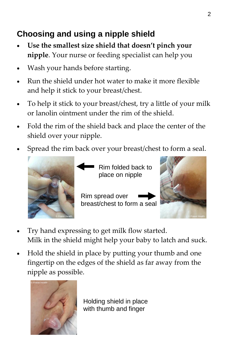### **Choosing and using a nipple shield**

- **Use the smallest size shield that doesn't pinch your nipple**. Your nurse or feeding specialist can help you
- Wash your hands before starting.
- Run the shield under hot water to make it more flexible and help it stick to your breast/chest.
- To help it stick to your breast/chest, try a little of your milk or lanolin ointment under the rim of the shield.
- Fold the rim of the shield back and place the center of the shield over your nipple.
- Spread the rim back over your breast/chest to form a seal.



Rim folded back to place on nipple

Rim spread over breast/chest to form a seal



- Try hand expressing to get milk flow started. Milk in the shield might help your baby to latch and suck.
- Hold the shield in place by putting your thumb and one fingertip on the edges of the shield as far away from the nipple as possible.



Holding shield in place with thumb and finger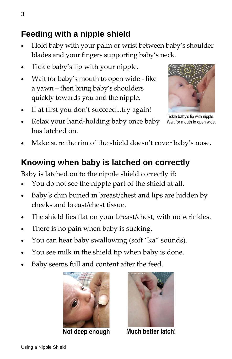#### **Feeding with a nipple shield**

- Hold baby with your palm or wrist between baby's shoulder blades and your fingers supporting baby's neck.
- Tickle baby's lip with your nipple.
- Wait for baby's mouth to open wide like a yawn – then bring baby's shoulders quickly towards you and the nipple.
- If at first you don't succeed...try again!
- Relax your hand-holding baby once baby has latched on.



Tickle baby's lip with nipple. Wait for mouth to open wide.

Make sure the rim of the shield doesn't cover baby's nose.

### **Knowing when baby is latched on correctly**

Baby is latched on to the nipple shield correctly if:

- You do not see the nipple part of the shield at all.
- Baby's chin buried in breast/chest and lips are hidden by cheeks and breast/chest tissue.
- The shield lies flat on your breast/chest, with no wrinkles.
- There is no pain when baby is sucking.
- You can hear baby swallowing (soft "ka" sounds).
- You see milk in the shield tip when baby is done.
- Baby seems full and content after the feed.





**Not deep enough Much better latch!**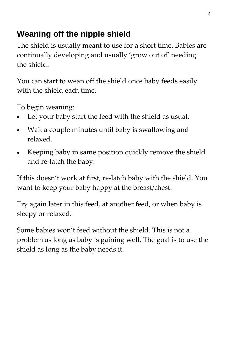### **Weaning off the nipple shield**

The shield is usually meant to use for a short time. Babies are continually developing and usually 'grow out of' needing the shield.

You can start to wean off the shield once baby feeds easily with the shield each time.

To begin weaning:

- Let your baby start the feed with the shield as usual.
- Wait a couple minutes until baby is swallowing and relaxed.
- Keeping baby in same position quickly remove the shield and re-latch the baby.

If this doesn't work at first, re-latch baby with the shield. You want to keep your baby happy at the breast/chest.

Try again later in this feed, at another feed, or when baby is sleepy or relaxed.

Some babies won't feed without the shield. This is not a problem as long as baby is gaining well. The goal is to use the shield as long as the baby needs it.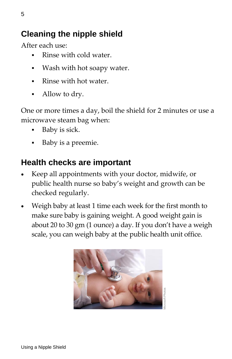#### **Cleaning the nipple shield**

After each use:

- Rinse with cold water.
- Wash with hot soapy water.
- Rinse with hot water.
- Allow to dry.

One or more times a day, boil the shield for 2 minutes or use a microwave steam bag when:

- Baby is sick.
- Baby is a preemie.

#### **Health checks are important**

- Keep all appointments with your doctor, midwife, or public health nurse so baby's weight and growth can be checked regularly.
- Weigh baby at least 1 time each week for the first month to make sure baby is gaining weight. A good weight gain is about 20 to 30 gm (1 ounce) a day. If you don't have a weigh scale, you can weigh baby at the public health unit office.

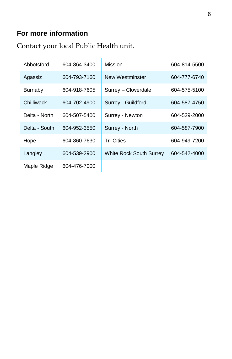#### **For more information**

Contact your local Public Health unit.

| Abbotsford     | 604-864-3400 | Mission                        | 604-814-5500 |
|----------------|--------------|--------------------------------|--------------|
| Agassiz        | 604-793-7160 | New Westminster                | 604-777-6740 |
| <b>Burnaby</b> | 604-918-7605 | Surrey - Cloverdale            | 604-575-5100 |
| Chilliwack     | 604-702-4900 | Surrey - Guildford             | 604-587-4750 |
| Delta - North  | 604-507-5400 | Surrey - Newton                | 604-529-2000 |
| Delta - South  | 604-952-3550 | Surrey - North                 | 604-587-7900 |
| Hope           | 604-860-7630 | <b>Tri-Cities</b>              | 604-949-7200 |
| Langley        | 604-539-2900 | <b>White Rock South Surrey</b> | 604-542-4000 |
| Maple Ridge    | 604-476-7000 |                                |              |